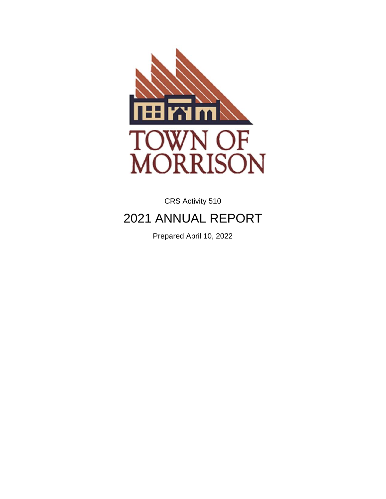

CRS Activity 510

# 2021 ANNUAL REPORT

Prepared April 10, 2022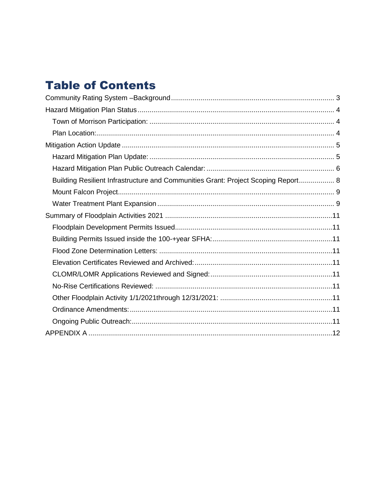## **Table of Contents**

| Building Resilient Infrastructure and Communities Grant: Project Scoping Report 8 |
|-----------------------------------------------------------------------------------|
|                                                                                   |
|                                                                                   |
|                                                                                   |
|                                                                                   |
|                                                                                   |
|                                                                                   |
|                                                                                   |
|                                                                                   |
|                                                                                   |
|                                                                                   |
|                                                                                   |
|                                                                                   |
|                                                                                   |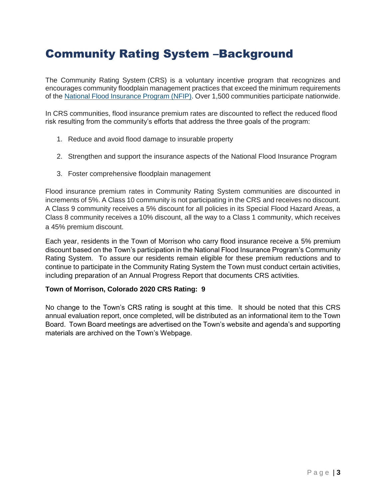### <span id="page-2-0"></span>Community Rating System –Background

The Community Rating System (CRS) is a voluntary incentive program that recognizes and encourages community floodplain management practices that exceed the minimum requirements of the [National Flood Insurance Program \(NFIP\).](https://www.fema.gov/flood-insurance) Over 1,500 communities participate nationwide.

In CRS communities, flood insurance premium rates are discounted to reflect the reduced flood risk resulting from the community's efforts that address the three goals of the program:

- 1. Reduce and avoid flood damage to insurable property
- 2. Strengthen and support the insurance aspects of the National Flood Insurance Program
- 3. Foster comprehensive floodplain management

Flood insurance premium rates in Community Rating System communities are discounted in increments of 5%. A Class 10 community is not participating in the CRS and receives no discount. A Class 9 community receives a 5% discount for all policies in its Special Flood Hazard Areas, a Class 8 community receives a 10% discount, all the way to a Class 1 community, which receives a 45% premium discount.

Each year, residents in the Town of Morrison who carry flood insurance receive a 5% premium discount based on the Town's participation in the National Flood Insurance Program's Community Rating System. To assure our residents remain eligible for these premium reductions and to continue to participate in the Community Rating System the Town must conduct certain activities, including preparation of an Annual Progress Report that documents CRS activities.

#### **Town of Morrison, Colorado 2020 CRS Rating: 9**

No change to the Town's CRS rating is sought at this time. It should be noted that this CRS annual evaluation report, once completed, will be distributed as an informational item to the Town Board. Town Board meetings are advertised on the Town's website and agenda's and supporting materials are archived on the Town's Webpage.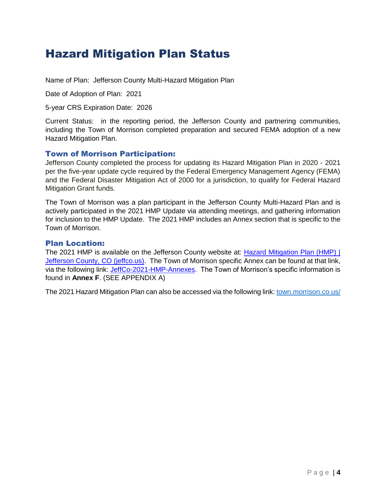### <span id="page-3-0"></span>Hazard Mitigation Plan Status

Name of Plan: Jefferson County Multi-Hazard Mitigation Plan

Date of Adoption of Plan: 2021

5-year CRS Expiration Date: 2026

Current Status: in the reporting period, the Jefferson County and partnering communities, including the Town of Morrison completed preparation and secured FEMA adoption of a new Hazard Mitigation Plan.

#### <span id="page-3-1"></span>Town of Morrison Participation:

Jefferson County completed the process for updating its Hazard Mitigation Plan in 2020 - 2021 per the five-year update cycle required by the Federal Emergency Management Agency (FEMA) and the Federal Disaster Mitigation Act of 2000 for a jurisdiction, to qualify for Federal Hazard Mitigation Grant funds.

The Town of Morrison was a plan participant in the Jefferson County Multi-Hazard Plan and is actively participated in the 2021 HMP Update via attending meetings, and gathering information for inclusion to the HMP Update. The 2021 HMP includes an Annex section that is specific to the Town of Morrison.

#### <span id="page-3-2"></span>Plan Location:

The 2021 HMP is available on the Jefferson County website at: [Hazard Mitigation Plan \(HMP\) |](https://www.jeffco.us/488/Hazard-Mitigation-Plan)  [Jefferson County, CO \(jeffco.us\).](https://www.jeffco.us/488/Hazard-Mitigation-Plan) The Town of Morrison specific Annex can be found at that link. via the following link: [JeffCo-2021-HMP-Annexes.](https://www.jeffco.us/DocumentCenter/View/31279/JeffCo-2021-HMP-Annexes) The Town of Morrison's specific information is found in **Annex F**. (SEE APPENDIX A)

The 2021 Hazard Mitigation Plan can also be accessed via the following link[: town.morrison.co.us/](http://town.morrison.co.us/DocumentCenter/View/1143/JeffCO-HMP-Update-Base-Plan-Part-1?bidId=)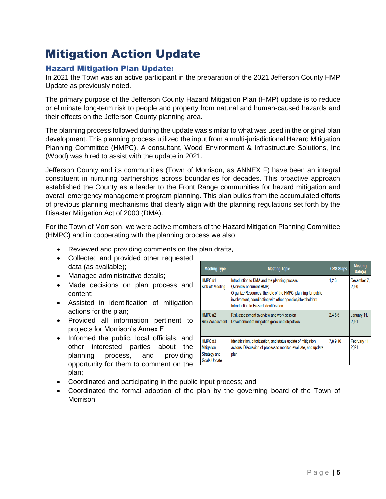## <span id="page-4-0"></span>Mitigation Action Update

### <span id="page-4-1"></span>Hazard Mitigation Plan Update:

In 2021 the Town was an active participant in the preparation of the 2021 Jefferson County HMP Update as previously noted.

The primary purpose of the Jefferson County Hazard Mitigation Plan (HMP) update is to reduce or eliminate long-term risk to people and property from natural and human-caused hazards and their effects on the Jefferson County planning area.

The planning process followed during the update was similar to what was used in the original plan development. This planning process utilized the input from a multi-jurisdictional Hazard Mitigation Planning Committee (HMPC). A consultant, Wood Environment & Infrastructure Solutions, Inc (Wood) was hired to assist with the update in 2021.

Jefferson County and its communities (Town of Morrison, as ANNEX F) have been an integral constituent in nurturing partnerships across boundaries for decades. This proactive approach established the County as a leader to the Front Range communities for hazard mitigation and overall emergency management program planning. This plan builds from the accumulated efforts of previous planning mechanisms that clearly align with the planning regulations set forth by the Disaster Mitigation Act of 2000 (DMA).

For the Town of Morrison, we were active members of the Hazard Mitigation Planning Committee (HMPC) and in cooperating with the planning process we also:

- Reviewed and providing comments on the plan drafts,
- Collected and provided other requested data (as available);
- Managed administrative details;
- Made decisions on plan process and content;
- Assisted in identification of mitigation actions for the plan;
- Provided all information pertinent to projects for Morrison's Annex F
- Informed the public, local officials, and other interested parties about the planning process, and providing opportunity for them to comment on the plan;

| <b>Meeting Type</b>                                         | <b>Meeting Topic</b>                                                                                                                                                                                                                             | <b>CRS Steps</b> | <b>Meeting</b><br>Date(s) |
|-------------------------------------------------------------|--------------------------------------------------------------------------------------------------------------------------------------------------------------------------------------------------------------------------------------------------|------------------|---------------------------|
| HMPC#1<br><b>Kick-off Meeting</b>                           | Introduction to DMA and the planning process<br>Overview of current HMP:<br>Organize Resources: the role of the HMPC, planning for public<br>involvement, coordinating with other agencies/stakeholders<br>Introduction to Hazard Identification | 1,2,3            | December 7.<br>2020       |
| HMPC#2<br><b>Risk Assessment</b>                            | Risk assessment overview and work session<br>Development of mitigation goals and objectives;                                                                                                                                                     | 2.4.5.6          | January 11.<br>2021       |
| HMPC#3<br>Mitigation<br>Strategy and<br><b>Goals Update</b> | Identification, prioritization, and status update of mitigation<br>actions; Discussion of process to monitor, evaluate, and update<br>plan                                                                                                       |                  | February 11,<br>2021      |

- Coordinated and participating in the public input process; and
- Coordinated the formal adoption of the plan by the governing board of the Town of **Morrison**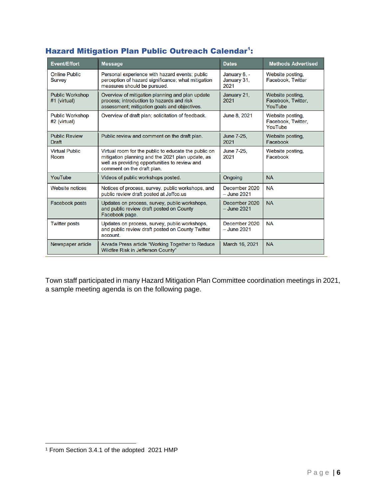| <b>Event/Effort</b>                                                                                                                   | <b>Message</b>                                                                                                                                                                          | <b>Dates</b>                 | <b>Methods Advertised</b>                         |
|---------------------------------------------------------------------------------------------------------------------------------------|-----------------------------------------------------------------------------------------------------------------------------------------------------------------------------------------|------------------------------|---------------------------------------------------|
| <b>Online Public</b><br><b>Survey</b>                                                                                                 | Personal experience with hazard events; public<br>perception of hazard significance; what mitigation<br>measures should be pursued.                                                     |                              | Website posting,<br>Facebook, Twitter             |
| <b>Public Workshop</b><br>#1 (virtual)                                                                                                | Overview of mitigation planning and plan update<br>process; introduction to hazards and risk<br>assessment; mitigation goals and objectives.                                            |                              | Website posting,<br>Facebook, Twitter,<br>YouTube |
| <b>Public Workshop</b><br>#2 (virtual)                                                                                                | Overview of draft plan; solicitation of feedback.                                                                                                                                       |                              | Website posting,<br>Facebook, Twitter,<br>YouTube |
| <b>Public Review</b><br><b>Draft</b>                                                                                                  | Public review and comment on the draft plan.                                                                                                                                            | June 7-25.<br>2021           | Website posting,<br>Facebook                      |
| <b>Virtual Public</b><br><b>Room</b>                                                                                                  | Virtual room for the public to educate the public on<br>mitigation planning and the 2021 plan update, as<br>well as providing opportunities to review and<br>comment on the draft plan. |                              | Website posting,<br>Facebook                      |
| YouTube                                                                                                                               | Videos of public workshops posted.                                                                                                                                                      | Ongoing                      | <b>NA</b>                                         |
| <b>Website notices</b>                                                                                                                | Notices of process, survey, public workshops, and<br>public review draft posted at Jeffco.us                                                                                            | December 2020<br>- June 2021 | <b>NA</b>                                         |
| <b>Facebook posts</b><br>Updates on process, survey, public workshops,<br>and public review draft posted on County<br>Facebook page.  |                                                                                                                                                                                         | December 2020<br>- June 2021 | <b>NA</b>                                         |
| <b>Twitter posts</b><br>Updates on process, survey, public workshops,<br>and public review draft posted on County Twitter<br>account. |                                                                                                                                                                                         | December 2020<br>– June 2021 | <b>NA</b>                                         |
| Newspaper article<br>Arvada Press article "Working Together to Reduce<br>Wildfire Risk in Jefferson County"                           |                                                                                                                                                                                         | March 16, 2021               | <b>NA</b>                                         |

### <span id="page-5-0"></span>Hazard Mitigation Plan Public Outreach Calendar<sup>1</sup>:

Town staff participated in many Hazard Mitigation Plan Committee coordination meetings in 2021, a sample meeting agenda is on the following page.

 <sup>1</sup> From Section 3.4.1 of the adopted 2021 HMP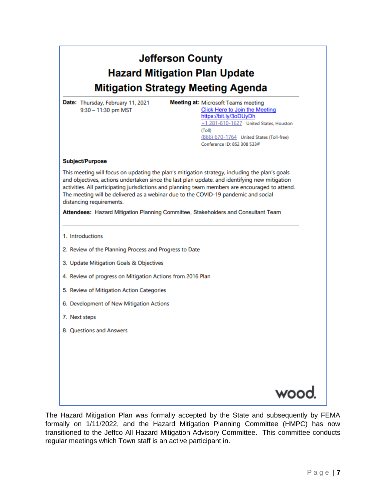| <b>Jefferson County</b> |                                           |  |  |
|-------------------------|-------------------------------------------|--|--|
|                         | <b>Hazard Mitigation Plan Update</b>      |  |  |
|                         | <b>Mitigation Strategy Meeting Agenda</b> |  |  |

Date: Thursday, February 11, 2021 9:30 - 11:30 pm MST

**Meeting at: Microsoft Teams meeting** Click Here to Join the Meeting https://bit.ly/3oDUyDh +1 281-810-1627 United States, Houston  $(T_0||)$ (866) 670-1764 United States (Toll-free) Conference ID: 852 308 533#

#### **Subject/Purpose**

This meeting will focus on updating the plan's mitigation strategy, including the plan's goals and objectives, actions undertaken since the last plan update, and identifying new mitigation activities. All participating jurisdictions and planning team members are encouraged to attend. The meeting will be delivered as a webinar due to the COVID-19 pandemic and social distancing requirements.

Attendees: Hazard Mitigation Planning Committee, Stakeholders and Consultant Team

1. Introductions

- 2. Review of the Planning Process and Progress to Date
- 3. Update Mitigation Goals & Objectives
- 4. Review of progress on Mitigation Actions from 2016 Plan
- 5. Review of Mitigation Action Categories
- 6. Development of New Mitigation Actions
- 7. Next steps
- 8. Questions and Answers



The Hazard Mitigation Plan was formally accepted by the State and subsequently by FEMA formally on 1/11/2022, and the Hazard Mitigation Planning Committee (HMPC) has now transitioned to the Jeffco All Hazard Mitigation Advisory Committee. This committee conducts regular meetings which Town staff is an active participant in.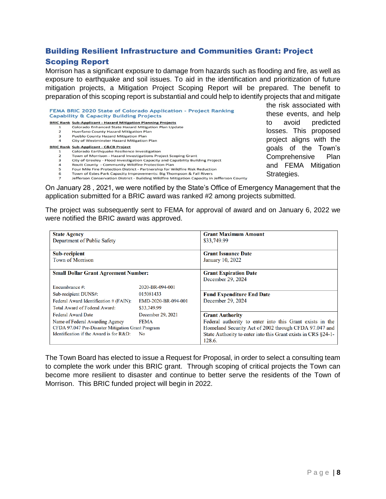### <span id="page-7-0"></span>Building Resilient Infrastructure and Communities Grant: Project Scoping Report

Morrison has a significant exposure to damage from hazards such as flooding and fire, as well as exposure to earthquake and soil issues. To aid in the identification and prioritization of future mitigation projects, a Mitigation Project Scoping Report will be prepared. The benefit to preparation of this scoping report is substantial and could help to identify projects that and mitigate

|                | <b>BRIC Rank Sub-Applicant - Hazard Mitigation Planning Projects</b>                        |
|----------------|---------------------------------------------------------------------------------------------|
| 1              | Colorado Enhanced State Hazard Mitigation Plan Update                                       |
| $\overline{2}$ | <b>Huerfano County Hazard Mitigation Plan</b>                                               |
| 3              | <b>Pueblo County Hazard Mitigation Plan</b>                                                 |
| $\overline{a}$ | City of Westminster Hazard Mitigation Plan                                                  |
|                | <b>BRIC Rank Sub-Applicant - C&amp;CB Project</b>                                           |
| 1              | Colorado Earthquake Resilience Investigation                                                |
| 2              | Town of Morrison - Hazard Investigations Project Scoping Grant                              |
| 3              | City of Greeley - Flood Investigation Capacity and Capability Building Project              |
| 4              | Routt County - Community Wildfire Protection Plan                                           |
| 5              | Four Mile Fire Protection District - Partnership for Wildfire Risk Reduction                |
| 6              | Town of Estes Park Capacity Improvements: Big Thompson & Fall Rivers                        |
| 7              | Jefferson Conservation District - Building Wildfire Mitigation Capacity in Jefferson County |

the risk associated with these events, and help to avoid predicted osses. This proposed project aligns with the goals of the Town's Comprehensive Plan and FEMA Mitigation Strategies.

On January 28 , 2021, we were notified by the State's Office of Emergency Management that the application submitted for a BRIC award was ranked #2 among projects submitted.

The project was subsequently sent to FEMA for approval of award and on January 6, 2022 we were notified the BRIC award was approved.

| <b>State Agency</b><br>Department of Public Safety |                     | <b>Grant Maximum Amount</b><br>\$33,749.99                              |  |  |
|----------------------------------------------------|---------------------|-------------------------------------------------------------------------|--|--|
| <b>Sub-recipient</b><br><b>Town of Morrison</b>    |                     | <b>Grant Issuance Date</b><br>January 10, 2022                          |  |  |
| <b>Small Dollar Grant Agreement Number:</b>        |                     | <b>Grant Expiration Date</b><br>December 29, 2024                       |  |  |
| Encumbrance #:                                     | 2020-BR-094-001     |                                                                         |  |  |
| Sub-recipient DUNS#:                               | 015081433           | <b>Fund Expenditure End Date</b>                                        |  |  |
| Federal Award Identification # (FAIN):             | EMD-2020-BR-094-001 | December 29, 2024                                                       |  |  |
| <b>Total Award of Federal Award:</b>               | \$33,749.99         |                                                                         |  |  |
| <b>Federal Award Date</b>                          | December 29, 2021   | <b>Grant Authority</b>                                                  |  |  |
| Name of Federal Awarding Agency                    | <b>FEMA</b>         | Federal authority to enter into this Grant exists in the                |  |  |
| CFDA 97.047 Pre-Disaster Mitigation Grant Program  |                     | Homeland Security Act of 2002 through CFDA 97.047 and                   |  |  |
| Identification if the Award is for $R&D$ :         | No.                 | State Authority to enter into this Grant exists in CRS §24-1-<br>128.6. |  |  |

The Town Board has elected to issue a Request for Proposal, in order to select a consulting team to complete the work under this BRIC grant. Through scoping of critical projects the Town can become more resilient to disaster and continue to better serve the residents of the Town of Morrison. This BRIC funded project will begin in 2022.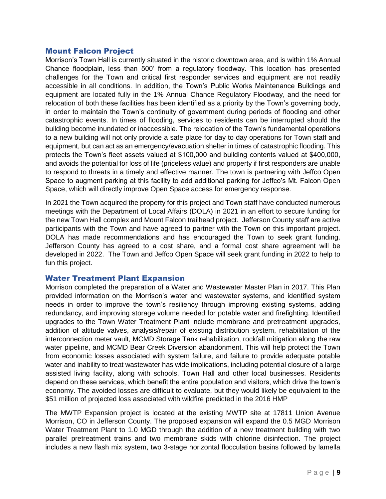#### <span id="page-8-0"></span>Mount Falcon Project

Morrison's Town Hall is currently situated in the historic downtown area, and is within 1% Annual Chance floodplain, less than 500' from a regulatory floodway. This location has presented challenges for the Town and critical first responder services and equipment are not readily accessible in all conditions. In addition, the Town's Public Works Maintenance Buildings and equipment are located fully in the 1% Annual Chance Regulatory Floodway, and the need for relocation of both these facilities has been identified as a priority by the Town's governing body, in order to maintain the Town's continuity of government during periods of flooding and other catastrophic events. In times of flooding, services to residents can be interrupted should the building become inundated or inaccessible. The relocation of the Town's fundamental operations to a new building will not only provide a safe place for day to day operations for Town staff and equipment, but can act as an emergency/evacuation shelter in times of catastrophic flooding. This protects the Town's fleet assets valued at \$100,000 and building contents valued at \$400,000, and avoids the potential for loss of life (priceless value) and property if first responders are unable to respond to threats in a timely and effective manner. The town is partnering with Jeffco Open Space to augment parking at this facility to add additional parking for Jeffco's Mt. Falcon Open Space, which will directly improve Open Space access for emergency response.

In 2021 the Town acquired the property for this project and Town staff have conducted numerous meetings with the Department of Local Affairs (DOLA) in 2021 in an effort to secure funding for the new Town Hall complex and Mount Falcon trailhead project. Jefferson County staff are active participants with the Town and have agreed to partner with the Town on this important project. DOLA has made recommendations and has encouraged the Town to seek grant funding. Jefferson County has agreed to a cost share, and a formal cost share agreement will be developed in 2022. The Town and Jeffco Open Space will seek grant funding in 2022 to help to fun this project.

#### <span id="page-8-1"></span>Water Treatment Plant Expansion

Morrison completed the preparation of a Water and Wastewater Master Plan in 2017. This Plan provided information on the Morrison's water and wastewater systems, and identified system needs in order to improve the town's resiliency through improving existing systems, adding redundancy, and improving storage volume needed for potable water and firefighting. Identified upgrades to the Town Water Treatment Plant include membrane and pretreatment upgrades, addition of altitude valves, analysis/repair of existing distribution system, rehabilitation of the interconnection meter vault, MCMD Storage Tank rehabilitation, rockfall mitigation along the raw water pipeline, and MCMD Bear Creek Diversion abandonment. This will help protect the Town from economic losses associated with system failure, and failure to provide adequate potable water and inability to treat wastewater has wide implications, including potential closure of a large assisted living facility, along with schools, Town Hall and other local businesses. Residents depend on these services, which benefit the entire population and visitors, which drive the town's economy. The avoided losses are difficult to evaluate, but they would likely be equivalent to the \$51 million of projected loss associated with wildfire predicted in the 2016 HMP

The MWTP Expansion project is located at the existing MWTP site at 17811 Union Avenue Morrison, CO in Jefferson County. The proposed expansion will expand the 0.5 MGD Morrison Water Treatment Plant to 1.0 MGD through the addition of a new treatment building with two parallel pretreatment trains and two membrane skids with chlorine disinfection. The project includes a new flash mix system, two 3-stage horizontal flocculation basins followed by lamella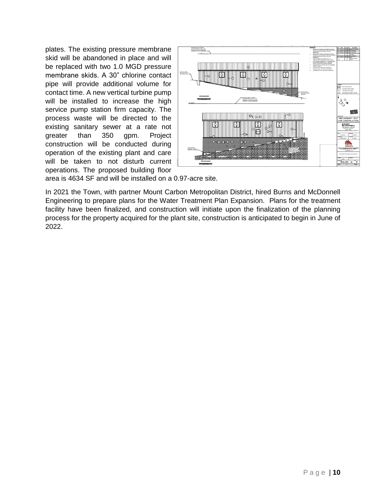plates. The existing pressure membrane skid will be abandoned in place and will be replaced with two 1.0 MGD pressure membrane skids. A 30" chlorine contact pipe will provide additional volume for contact time. A new vertical turbine pump will be installed to increase the high service pump station firm capacity. The process waste will be directed to the existing sanitary sewer at a rate not greater than 350 gpm. Project construction will be conducted during operation of the existing plant and care will be taken to not disturb current operations. The proposed building floor



area is 4634 SF and will be installed on a 0.97-acre site.

In 2021 the Town, with partner Mount Carbon Metropolitan District, hired Burns and McDonnell Engineering to prepare plans for the Water Treatment Plan Expansion. Plans for the treatment facility have been finalized, and construction will initiate upon the finalization of the planning process for the property acquired for the plant site, construction is anticipated to begin in June of 2022.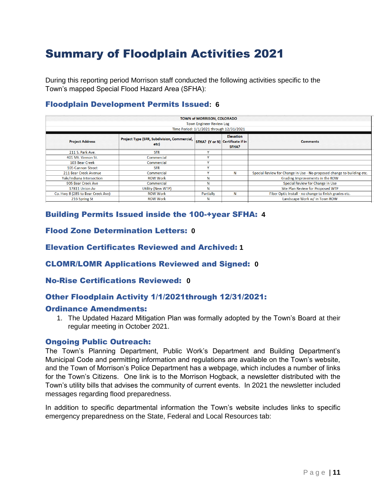## <span id="page-10-0"></span>Summary of Floodplain Activities 2021

During this reporting period Morrison staff conducted the following activities specific to the Town's mapped Special Flood Hazard Area (SFHA):

#### <span id="page-10-1"></span>Floodplain Development Permits Issued**: 6**

| TOWN of MORRISON, COLORADO<br><b>Town Engineer Review Log</b><br>Time Period: 1/1/2021 through 12/31/2021 |                                                     |              |                                                               |                                                                        |
|-----------------------------------------------------------------------------------------------------------|-----------------------------------------------------|--------------|---------------------------------------------------------------|------------------------------------------------------------------------|
| <b>Project Address</b>                                                                                    | Project Type (SFR, Subdivision, Commercial,<br>etc) |              | <b>Elevation</b><br>SFHA? (Y or N) Certificate if in<br>SFHA? | <b>Comments</b>                                                        |
| 211 S. Park Ave.                                                                                          | <b>SFR</b>                                          | $\mathbf{v}$ |                                                               |                                                                        |
| 401 Mt. Vernon St.                                                                                        | Commercial                                          | v            |                                                               |                                                                        |
| 103 Bear Creek                                                                                            | Commercial                                          |              |                                                               |                                                                        |
| 105 Cannon Street                                                                                         | <b>SFR</b>                                          | v            |                                                               |                                                                        |
| 211 Bear Creek Avenue                                                                                     | Commercial                                          | v            | N                                                             | Special Review for Change in Use - No proposed change to building etc. |
| Yale/Indiana Intersection                                                                                 | <b>ROW Work</b>                                     | N            |                                                               | Grading Improvements in the ROW                                        |
| 905 Bear Creek Ave                                                                                        | Commercial                                          | N            |                                                               | Special Review for Change in Use                                       |
| 17811 Union Av                                                                                            | Utility (New WTP)                                   | N            |                                                               | Site Plan Review for Proposed WTP                                      |
| Co. Hwy 8 (285 to Bear Creek Ave)                                                                         | <b>ROW Work</b>                                     | Partially    | N                                                             | Fiber Optic Install - no change to finish grades etc.                  |
| 216 Spring St                                                                                             | <b>ROW Work</b>                                     | N            |                                                               | Landscape Work w/ in Town ROW                                          |

#### <span id="page-10-2"></span>Building Permits Issued inside the 100-+year SFHA: **4**

#### <span id="page-10-3"></span>Flood Zone Determination Letters: **0**

<span id="page-10-4"></span>Elevation Certificates Reviewed and Archived: **1**

#### <span id="page-10-5"></span>CLOMR/LOMR Applications Reviewed and Signed: **0**

#### <span id="page-10-6"></span>No-Rise Certifications Reviewed: **0**

#### <span id="page-10-7"></span>Other Floodplain Activity 1/1/2021through 12/31/2021:

#### <span id="page-10-8"></span>Ordinance Amendments:

1. The Updated Hazard Mitigation Plan was formally adopted by the Town's Board at their regular meeting in October 2021.

#### <span id="page-10-9"></span>Ongoing Public Outreach:

The Town's Planning Department, Public Work's Department and Building Department's Municipal Code and permitting information and regulations are available on the Town's website, and the Town of Morrison's Police Department has a webpage, which includes a number of links for the Town's Citizens. One link is to the Morrison Hogback, a newsletter distributed with the Town's utility bills that advises the community of current events. In 2021 the newsletter included messages regarding flood preparedness.

In addition to specific departmental information the Town's website includes links to specific emergency preparedness on the State, Federal and Local Resources tab: